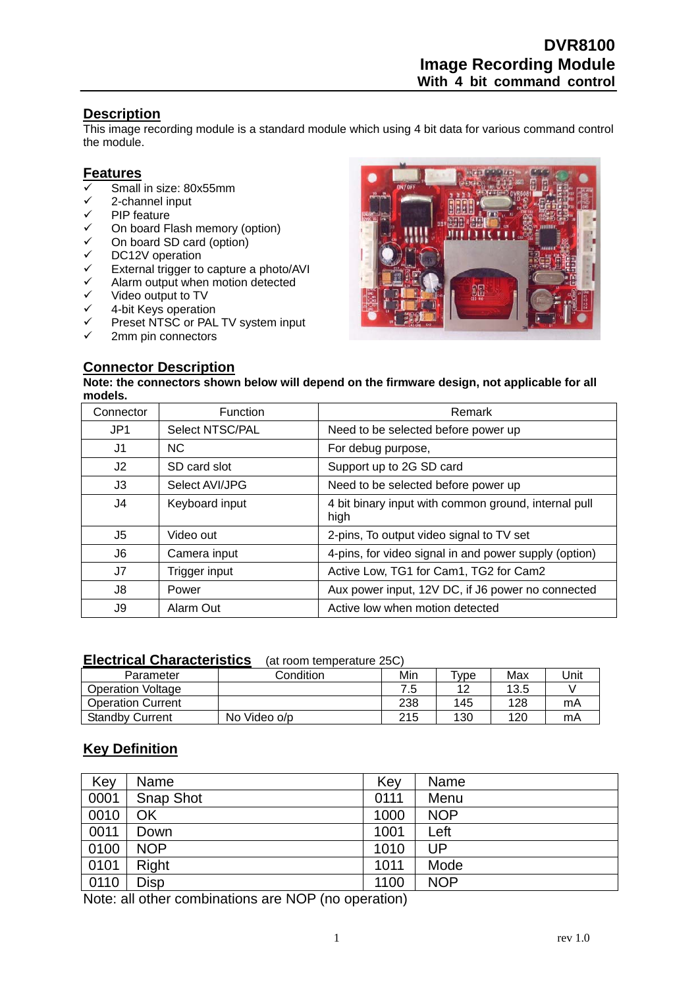# **Description**

This image recording module is a standard module which using 4 bit data for various command control the module.

### **Features**

- Small in size: 80x55mm
- $\checkmark$  2-channel input<br> $\checkmark$  PIP feature
- PIP feature
- $\checkmark$  On board Flash memory (option)<br> $\checkmark$  On board SD card (option)
- $\checkmark$  On board SD card (option)<br> $\checkmark$  DC12V operation
- $\checkmark$  DC12V operation<br> $\checkmark$  External trigger to
- $\checkmark$  External trigger to capture a photo/AVI<br> $\checkmark$  Alarm output when motion detected
- $\checkmark$  Alarm output when motion detected<br> $\checkmark$  Video output to TV
- $\checkmark$  Video output to TV<br> $\checkmark$  4-bit Kevs operatio
- $\checkmark$  4-bit Keys operation<br> $\checkmark$  Preset NTSC or PAL
- Preset NTSC or PAL TV system input
- 2mm pin connectors



# **Connector Description**

**Note: the connectors shown below will depend on the firmware design, not applicable for all models.** 

| Connector       | <b>Function</b> | Remark                                                       |
|-----------------|-----------------|--------------------------------------------------------------|
| JP <sub>1</sub> | Select NTSC/PAL | Need to be selected before power up                          |
| J1              | NC.             | For debug purpose,                                           |
| J <sub>2</sub>  | SD card slot    | Support up to 2G SD card                                     |
| J3              | Select AVI/JPG  | Need to be selected before power up                          |
| J4              | Keyboard input  | 4 bit binary input with common ground, internal pull<br>high |
| J5              | Video out       | 2-pins, To output video signal to TV set                     |
| J6              | Camera input    | 4-pins, for video signal in and power supply (option)        |
| J7              | Trigger input   | Active Low, TG1 for Cam1, TG2 for Cam2                       |
| J8              | Power           | Aux power input, 12V DC, if J6 power no connected            |
| J9              | Alarm Out       | Active low when motion detected                              |

### **Electrical Characteristics** (at room temperature 25C)

| Parameter                | Condition    | Min | $\tau_{\text{Vpe}}$ | Max  | Unit |
|--------------------------|--------------|-----|---------------------|------|------|
| Operation Voltage        |              | 7.5 | $\overline{A}$      | 13.5 |      |
| <b>Operation Current</b> |              | 238 | 145                 | 128  | mA   |
| <b>Standby Current</b>   | No Video o/p | 215 | 130                 | 120  | mA   |

## **Key Definition**

| Key  | Name       | Key  | Name       |
|------|------------|------|------------|
| 0001 | Snap Shot  | 0111 | Menu       |
| 0010 | OK         | 1000 | <b>NOP</b> |
| 0011 | Down       | 1001 | Left       |
| 0100 | <b>NOP</b> | 1010 | UP         |
| 0101 | Right      | 1011 | Mode       |
| 0110 | Disp       | 1100 | <b>NOP</b> |

Note: all other combinations are NOP (no operation)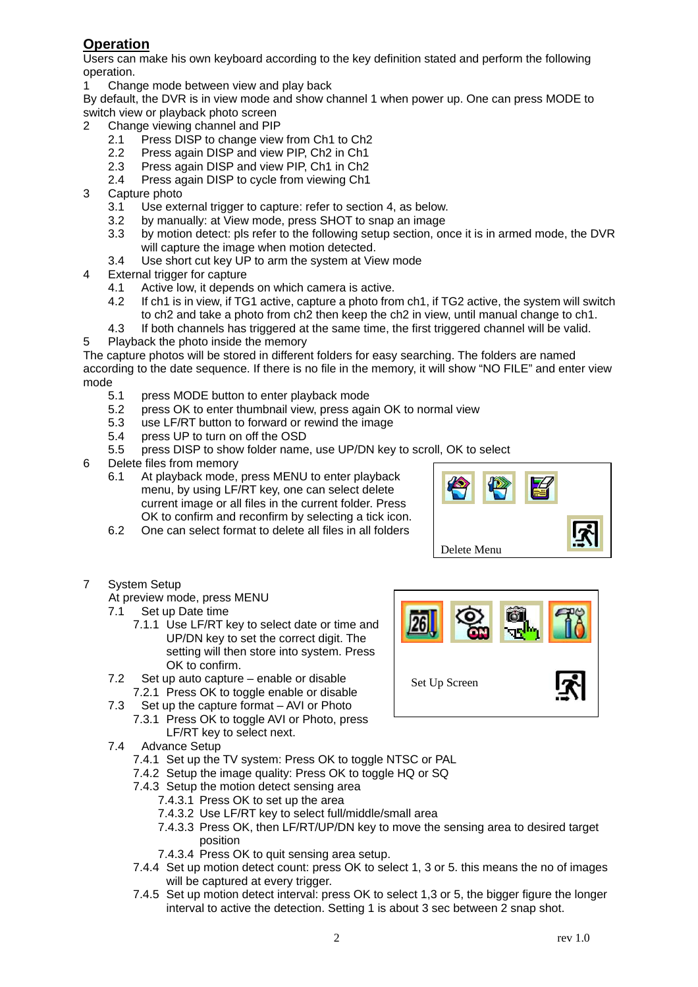# **Operation**

Users can make his own keyboard according to the key definition stated and perform the following operation.

1 Change mode between view and play back

By default, the DVR is in view mode and show channel 1 when power up. One can press MODE to switch view or playback photo screen

- 2 Change viewing channel and PIP
	- 2.1 Press DISP to change view from Ch1 to Ch2
	- 2.2 Press again DISP and view PIP, Ch2 in Ch1
	- 2.3 Press again DISP and view PIP, Ch1 in Ch2
	- 2.4 Press again DISP to cycle from viewing Ch1
- 3 Capture photo
	- 3.1 Use external trigger to capture: refer to section 4, as below.
	- 3.2 by manually: at View mode, press SHOT to snap an image
	- 3.3 by motion detect: pls refer to the following setup section, once it is in armed mode, the DVR will capture the image when motion detected.
	- 3.4 Use short cut key UP to arm the system at View mode
- 4 External trigger for capture
	- 4.1 Active low, it depends on which camera is active.
	- 4.2 If ch1 is in view, if TG1 active, capture a photo from ch1, if TG2 active, the system will switch to ch2 and take a photo from ch2 then keep the ch2 in view, until manual change to ch1.
	- 4.3 If both channels has triggered at the same time, the first triggered channel will be valid.
- 5 Playback the photo inside the memory

The capture photos will be stored in different folders for easy searching. The folders are named according to the date sequence. If there is no file in the memory, it will show "NO FILE" and enter view mode

- 5.1 press MODE button to enter playback mode
- 5.2 press OK to enter thumbnail view, press again OK to normal view
	- 5.3 use LF/RT button to forward or rewind the image
	- 5.4 press UP to turn on off the OSD
- 5.5 press DISP to show folder name, use UP/DN key to scroll, OK to select
- 6 Delete files from memory
	- 6.1 At playback mode, press MENU to enter playback menu, by using LF/RT key, one can select delete current image or all files in the current folder. Press OK to confirm and reconfirm by selecting a tick icon.
	- 6.2 One can select format to delete all files in all folders



- 7 System Setup
	- At preview mode, press MENU
	- 7.1 Set up Date time
		- 7.1.1 Use LF/RT key to select date or time and UP/DN key to set the correct digit. The setting will then store into system. Press OK to confirm.
	- 7.2 Set up auto capture enable or disable 7.2.1 Press OK to toggle enable or disable
	- 7.3 Set up the capture format AVI or Photo 7.3.1 Press OK to toggle AVI or Photo, press
		- LF/RT key to select next.
	- 7.4 Advance Setup
		- 7.4.1 Set up the TV system: Press OK to toggle NTSC or PAL
		- 7.4.2 Setup the image quality: Press OK to toggle HQ or SQ
		- 7.4.3 Setup the motion detect sensing area
			- 7.4.3.1 Press OK to set up the area
			- 7.4.3.2 Use LF/RT key to select full/middle/small area
			- 7.4.3.3 Press OK, then LF/RT/UP/DN key to move the sensing area to desired target position
			- 7.4.3.4 Press OK to quit sensing area setup.
		- 7.4.4 Set up motion detect count: press OK to select 1, 3 or 5. this means the no of images will be captured at every trigger.
		- 7.4.5 Set up motion detect interval: press OK to select 1,3 or 5, the bigger figure the longer interval to active the detection. Setting 1 is about 3 sec between 2 snap shot.

Set Up Screen